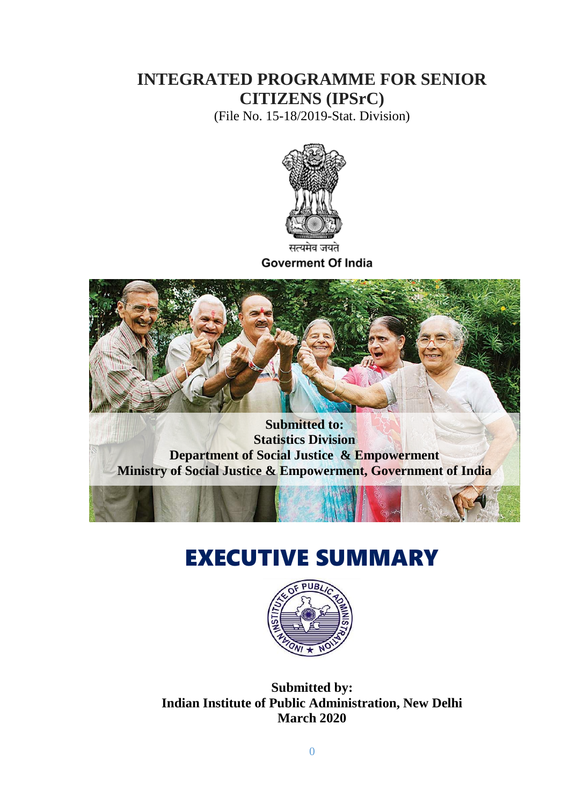## **INTEGRATED PROGRAMME FOR SENIOR CITIZENS (IPSrC)**

(File No. 15-18/2019-Stat. Division)



सत्यमव जयत **Goverment Of India** 



**Statistics Division Department of Social Justice & Empowerment Ministry of Social Justice & Empowerment, Government of India**

## EXECUTIVE SUMMARY



**Submitted by: Indian Institute of Public Administration, New Delhi March 2020**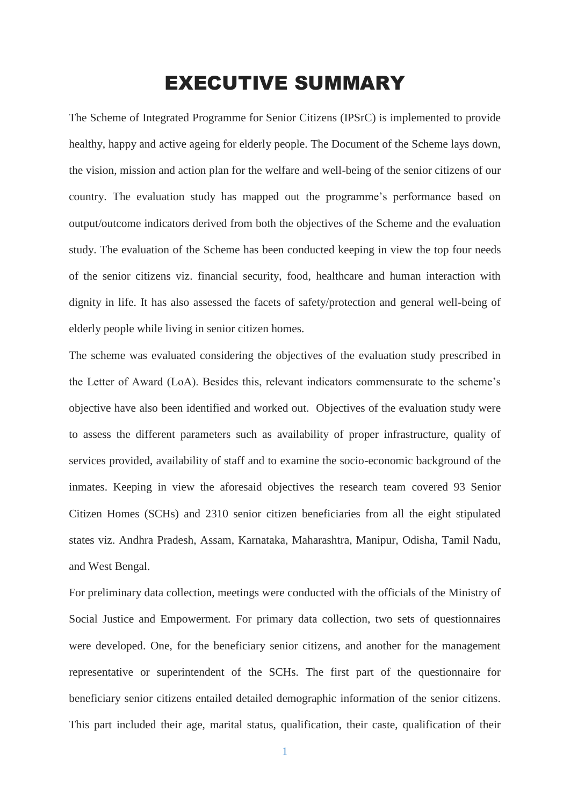## EXECUTIVE SUMMARY

The Scheme of Integrated Programme for Senior Citizens (IPSrC) is implemented to provide healthy, happy and active ageing for elderly people. The Document of the Scheme lays down, the vision, mission and action plan for the welfare and well-being of the senior citizens of our country. The evaluation study has mapped out the programme's performance based on output/outcome indicators derived from both the objectives of the Scheme and the evaluation study. The evaluation of the Scheme has been conducted keeping in view the top four needs of the senior citizens viz. financial security, food, healthcare and human interaction with dignity in life. It has also assessed the facets of safety/protection and general well-being of elderly people while living in senior citizen homes.

The scheme was evaluated considering the objectives of the evaluation study prescribed in the Letter of Award (LoA). Besides this, relevant indicators commensurate to the scheme's objective have also been identified and worked out. Objectives of the evaluation study were to assess the different parameters such as availability of proper infrastructure, quality of services provided, availability of staff and to examine the socio-economic background of the inmates. Keeping in view the aforesaid objectives the research team covered 93 Senior Citizen Homes (SCHs) and 2310 senior citizen beneficiaries from all the eight stipulated states viz. Andhra Pradesh, Assam, Karnataka, Maharashtra, Manipur, Odisha, Tamil Nadu, and West Bengal.

For preliminary data collection, meetings were conducted with the officials of the Ministry of Social Justice and Empowerment. For primary data collection, two sets of questionnaires were developed. One, for the beneficiary senior citizens, and another for the management representative or superintendent of the SCHs. The first part of the questionnaire for beneficiary senior citizens entailed detailed demographic information of the senior citizens. This part included their age, marital status, qualification, their caste, qualification of their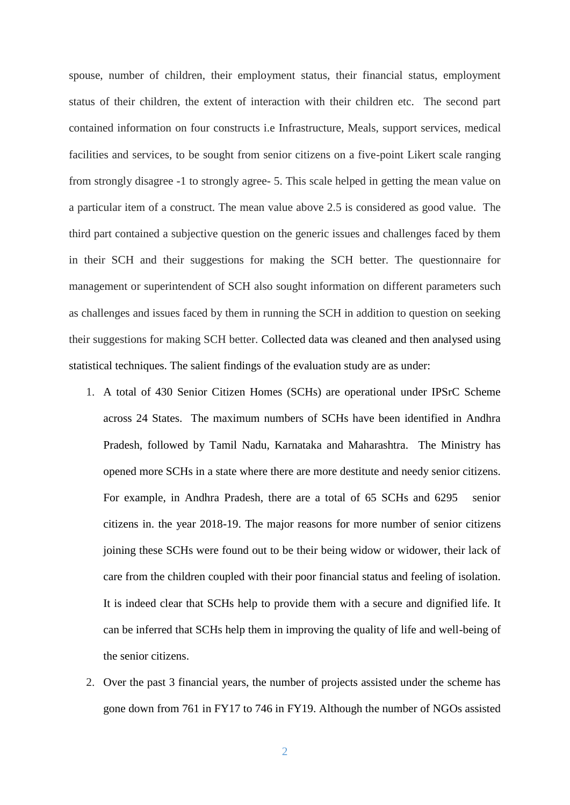spouse, number of children, their employment status, their financial status, employment status of their children, the extent of interaction with their children etc. The second part contained information on four constructs i.e Infrastructure, Meals, support services, medical facilities and services, to be sought from senior citizens on a five-point Likert scale ranging from strongly disagree -1 to strongly agree- 5. This scale helped in getting the mean value on a particular item of a construct. The mean value above 2.5 is considered as good value. The third part contained a subjective question on the generic issues and challenges faced by them in their SCH and their suggestions for making the SCH better. The questionnaire for management or superintendent of SCH also sought information on different parameters such as challenges and issues faced by them in running the SCH in addition to question on seeking their suggestions for making SCH better. Collected data was cleaned and then analysed using statistical techniques. The salient findings of the evaluation study are as under:

- 1. A total of 430 Senior Citizen Homes (SCHs) are operational under IPSrC Scheme across 24 States. The maximum numbers of SCHs have been identified in Andhra Pradesh, followed by Tamil Nadu, Karnataka and Maharashtra. The Ministry has opened more SCHs in a state where there are more destitute and needy senior citizens. For example, in Andhra Pradesh, there are a total of 65 SCHs and 6295 senior citizens in. the year 2018-19. The major reasons for more number of senior citizens joining these SCHs were found out to be their being widow or widower, their lack of care from the children coupled with their poor financial status and feeling of isolation. It is indeed clear that SCHs help to provide them with a secure and dignified life. It can be inferred that SCHs help them in improving the quality of life and well-being of the senior citizens.
- 2. Over the past 3 financial years, the number of projects assisted under the scheme has gone down from 761 in FY17 to 746 in FY19. Although the number of NGOs assisted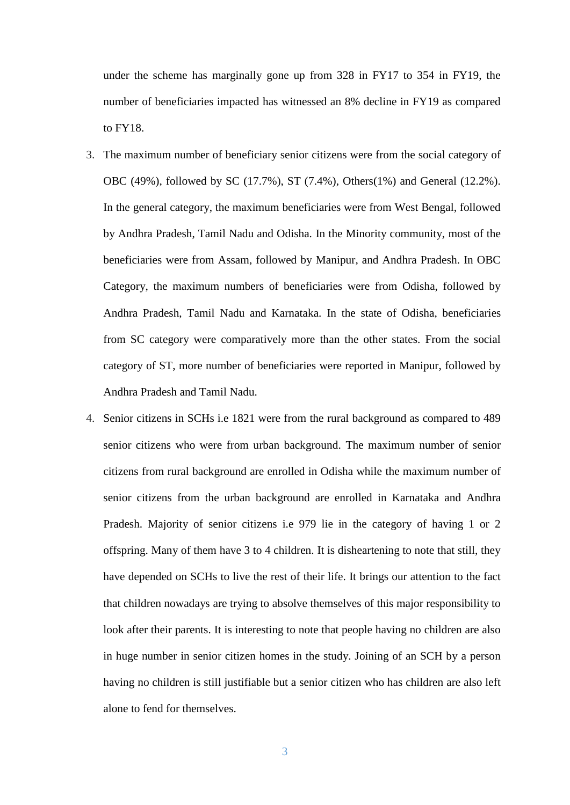under the scheme has marginally gone up from 328 in FY17 to 354 in FY19, the number of beneficiaries impacted has witnessed an 8% decline in FY19 as compared to FY18.

- 3. The maximum number of beneficiary senior citizens were from the social category of OBC (49%), followed by SC (17.7%), ST (7.4%), Others(1%) and General (12.2%). In the general category, the maximum beneficiaries were from West Bengal, followed by Andhra Pradesh, Tamil Nadu and Odisha. In the Minority community, most of the beneficiaries were from Assam, followed by Manipur, and Andhra Pradesh. In OBC Category, the maximum numbers of beneficiaries were from Odisha, followed by Andhra Pradesh, Tamil Nadu and Karnataka. In the state of Odisha, beneficiaries from SC category were comparatively more than the other states. From the social category of ST, more number of beneficiaries were reported in Manipur, followed by Andhra Pradesh and Tamil Nadu.
- 4. Senior citizens in SCHs i.e 1821 were from the rural background as compared to 489 senior citizens who were from urban background. The maximum number of senior citizens from rural background are enrolled in Odisha while the maximum number of senior citizens from the urban background are enrolled in Karnataka and Andhra Pradesh. Majority of senior citizens i.e 979 lie in the category of having 1 or 2 offspring. Many of them have 3 to 4 children. It is disheartening to note that still, they have depended on SCHs to live the rest of their life. It brings our attention to the fact that children nowadays are trying to absolve themselves of this major responsibility to look after their parents. It is interesting to note that people having no children are also in huge number in senior citizen homes in the study. Joining of an SCH by a person having no children is still justifiable but a senior citizen who has children are also left alone to fend for themselves.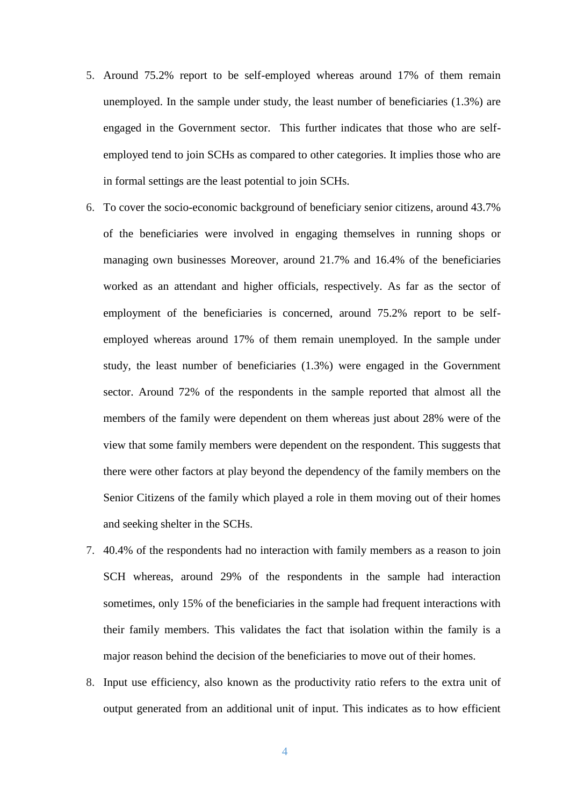- 5. Around 75.2% report to be self-employed whereas around 17% of them remain unemployed. In the sample under study, the least number of beneficiaries (1.3%) are engaged in the Government sector. This further indicates that those who are selfemployed tend to join SCHs as compared to other categories. It implies those who are in formal settings are the least potential to join SCHs.
- 6. To cover the socio-economic background of beneficiary senior citizens, around 43.7% of the beneficiaries were involved in engaging themselves in running shops or managing own businesses Moreover, around 21.7% and 16.4% of the beneficiaries worked as an attendant and higher officials, respectively. As far as the sector of employment of the beneficiaries is concerned, around 75.2% report to be selfemployed whereas around 17% of them remain unemployed. In the sample under study, the least number of beneficiaries (1.3%) were engaged in the Government sector. Around 72% of the respondents in the sample reported that almost all the members of the family were dependent on them whereas just about 28% were of the view that some family members were dependent on the respondent. This suggests that there were other factors at play beyond the dependency of the family members on the Senior Citizens of the family which played a role in them moving out of their homes and seeking shelter in the SCHs.
- 7. 40.4% of the respondents had no interaction with family members as a reason to join SCH whereas, around 29% of the respondents in the sample had interaction sometimes, only 15% of the beneficiaries in the sample had frequent interactions with their family members. This validates the fact that isolation within the family is a major reason behind the decision of the beneficiaries to move out of their homes.
- 8. Input use efficiency, also known as the productivity ratio refers to the extra unit of output generated from an additional unit of input. This indicates as to how efficient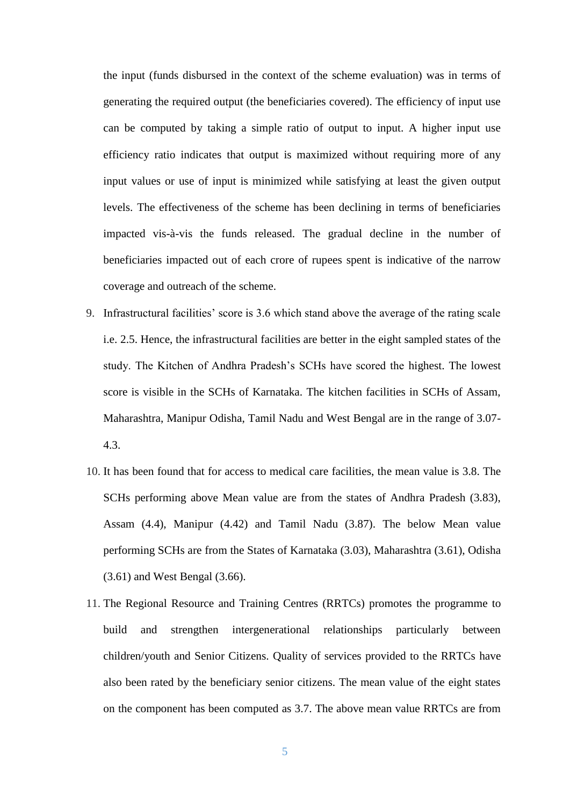the input (funds disbursed in the context of the scheme evaluation) was in terms of generating the required output (the beneficiaries covered). The efficiency of input use can be computed by taking a simple ratio of output to input. A higher input use efficiency ratio indicates that output is maximized without requiring more of any input values or use of input is minimized while satisfying at least the given output levels. The effectiveness of the scheme has been declining in terms of beneficiaries impacted vis-à-vis the funds released. The gradual decline in the number of beneficiaries impacted out of each crore of rupees spent is indicative of the narrow coverage and outreach of the scheme.

- 9. Infrastructural facilities' score is 3.6 which stand above the average of the rating scale i.e. 2.5. Hence, the infrastructural facilities are better in the eight sampled states of the study. The Kitchen of Andhra Pradesh's SCHs have scored the highest. The lowest score is visible in the SCHs of Karnataka. The kitchen facilities in SCHs of Assam, Maharashtra, Manipur Odisha, Tamil Nadu and West Bengal are in the range of 3.07- 4.3.
- 10. It has been found that for access to medical care facilities, the mean value is 3.8. The SCHs performing above Mean value are from the states of Andhra Pradesh (3.83), Assam (4.4), Manipur (4.42) and Tamil Nadu (3.87). The below Mean value performing SCHs are from the States of Karnataka (3.03), Maharashtra (3.61), Odisha (3.61) and West Bengal (3.66).
- 11. The Regional Resource and Training Centres (RRTCs) promotes the programme to build and strengthen intergenerational relationships particularly between children/youth and Senior Citizens. Quality of services provided to the RRTCs have also been rated by the beneficiary senior citizens. The mean value of the eight states on the component has been computed as 3.7. The above mean value RRTCs are from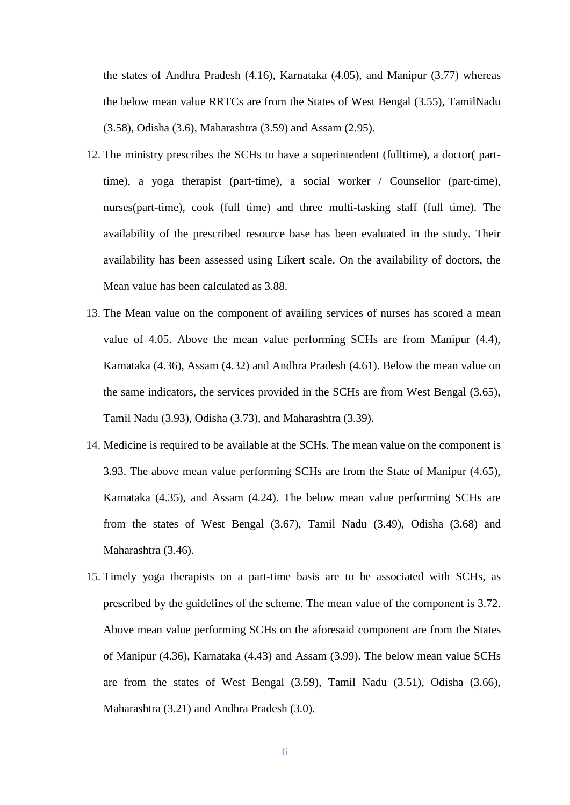the states of Andhra Pradesh (4.16), Karnataka (4.05), and Manipur (3.77) whereas the below mean value RRTCs are from the States of West Bengal (3.55), TamilNadu (3.58), Odisha (3.6), Maharashtra (3.59) and Assam (2.95).

- 12. The ministry prescribes the SCHs to have a superintendent (fulltime), a doctor( parttime), a yoga therapist (part-time), a social worker / Counsellor (part-time), nurses(part-time), cook (full time) and three multi-tasking staff (full time). The availability of the prescribed resource base has been evaluated in the study. Their availability has been assessed using Likert scale. On the availability of doctors, the Mean value has been calculated as 3.88.
- 13. The Mean value on the component of availing services of nurses has scored a mean value of 4.05. Above the mean value performing SCHs are from Manipur (4.4), Karnataka (4.36), Assam (4.32) and Andhra Pradesh (4.61). Below the mean value on the same indicators, the services provided in the SCHs are from West Bengal (3.65), Tamil Nadu (3.93), Odisha (3.73), and Maharashtra (3.39).
- 14. Medicine is required to be available at the SCHs. The mean value on the component is 3.93. The above mean value performing SCHs are from the State of Manipur (4.65), Karnataka (4.35), and Assam (4.24). The below mean value performing SCHs are from the states of West Bengal (3.67), Tamil Nadu (3.49), Odisha (3.68) and Maharashtra (3.46).
- 15. Timely yoga therapists on a part-time basis are to be associated with SCHs, as prescribed by the guidelines of the scheme. The mean value of the component is 3.72. Above mean value performing SCHs on the aforesaid component are from the States of Manipur (4.36), Karnataka (4.43) and Assam (3.99). The below mean value SCHs are from the states of West Bengal (3.59), Tamil Nadu (3.51), Odisha (3.66), Maharashtra (3.21) and Andhra Pradesh (3.0).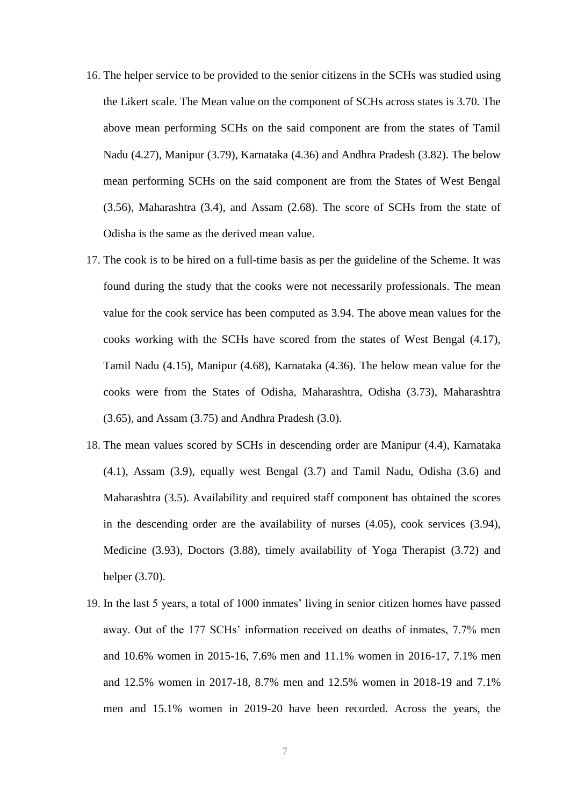- 16. The helper service to be provided to the senior citizens in the SCHs was studied using the Likert scale. The Mean value on the component of SCHs across states is 3.70. The above mean performing SCHs on the said component are from the states of Tamil Nadu (4.27), Manipur (3.79), Karnataka (4.36) and Andhra Pradesh (3.82). The below mean performing SCHs on the said component are from the States of West Bengal (3.56), Maharashtra (3.4), and Assam (2.68). The score of SCHs from the state of Odisha is the same as the derived mean value.
- 17. The cook is to be hired on a full-time basis as per the guideline of the Scheme. It was found during the study that the cooks were not necessarily professionals. The mean value for the cook service has been computed as 3.94. The above mean values for the cooks working with the SCHs have scored from the states of West Bengal (4.17), Tamil Nadu (4.15), Manipur (4.68), Karnataka (4.36). The below mean value for the cooks were from the States of Odisha, Maharashtra, Odisha (3.73), Maharashtra (3.65), and Assam (3.75) and Andhra Pradesh (3.0).
- 18. The mean values scored by SCHs in descending order are Manipur (4.4), Karnataka (4.1), Assam (3.9), equally west Bengal (3.7) and Tamil Nadu, Odisha (3.6) and Maharashtra (3.5). Availability and required staff component has obtained the scores in the descending order are the availability of nurses (4.05), cook services (3.94), Medicine (3.93), Doctors (3.88), timely availability of Yoga Therapist (3.72) and helper (3.70).
- 19. In the last 5 years, a total of 1000 inmates' living in senior citizen homes have passed away. Out of the 177 SCHs' information received on deaths of inmates, 7.7% men and 10.6% women in 2015-16, 7.6% men and 11.1% women in 2016-17, 7.1% men and 12.5% women in 2017-18, 8.7% men and 12.5% women in 2018-19 and 7.1% men and 15.1% women in 2019-20 have been recorded. Across the years, the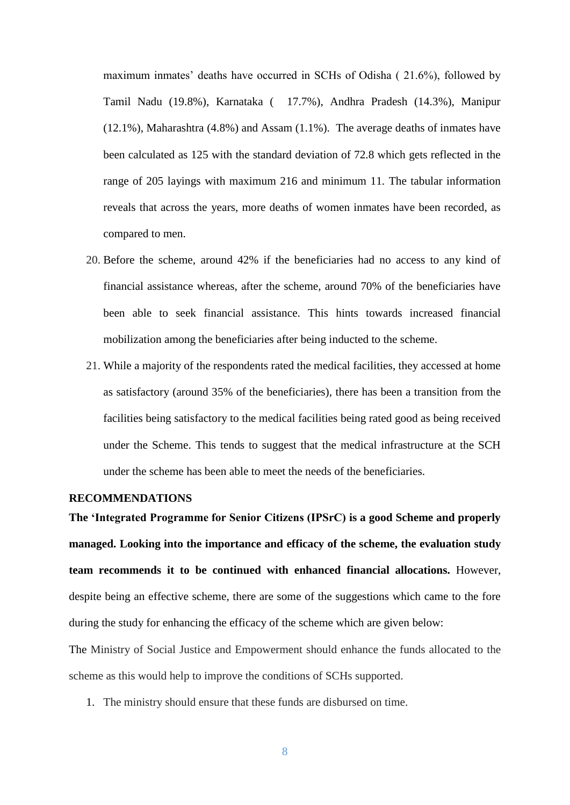maximum inmates' deaths have occurred in SCHs of Odisha ( 21.6%), followed by Tamil Nadu (19.8%), Karnataka ( 17.7%), Andhra Pradesh (14.3%), Manipur (12.1%), Maharashtra (4.8%) and Assam (1.1%). The average deaths of inmates have been calculated as 125 with the standard deviation of 72.8 which gets reflected in the range of 205 layings with maximum 216 and minimum 11. The tabular information reveals that across the years, more deaths of women inmates have been recorded, as compared to men.

- 20. Before the scheme, around 42% if the beneficiaries had no access to any kind of financial assistance whereas, after the scheme, around 70% of the beneficiaries have been able to seek financial assistance. This hints towards increased financial mobilization among the beneficiaries after being inducted to the scheme.
- 21. While a majority of the respondents rated the medical facilities, they accessed at home as satisfactory (around 35% of the beneficiaries), there has been a transition from the facilities being satisfactory to the medical facilities being rated good as being received under the Scheme. This tends to suggest that the medical infrastructure at the SCH under the scheme has been able to meet the needs of the beneficiaries.

## **RECOMMENDATIONS**

**The 'Integrated Programme for Senior Citizens (IPSrC) is a good Scheme and properly managed. Looking into the importance and efficacy of the scheme, the evaluation study team recommends it to be continued with enhanced financial allocations.** However, despite being an effective scheme, there are some of the suggestions which came to the fore during the study for enhancing the efficacy of the scheme which are given below:

The Ministry of Social Justice and Empowerment should enhance the funds allocated to the scheme as this would help to improve the conditions of SCHs supported.

1. The ministry should ensure that these funds are disbursed on time.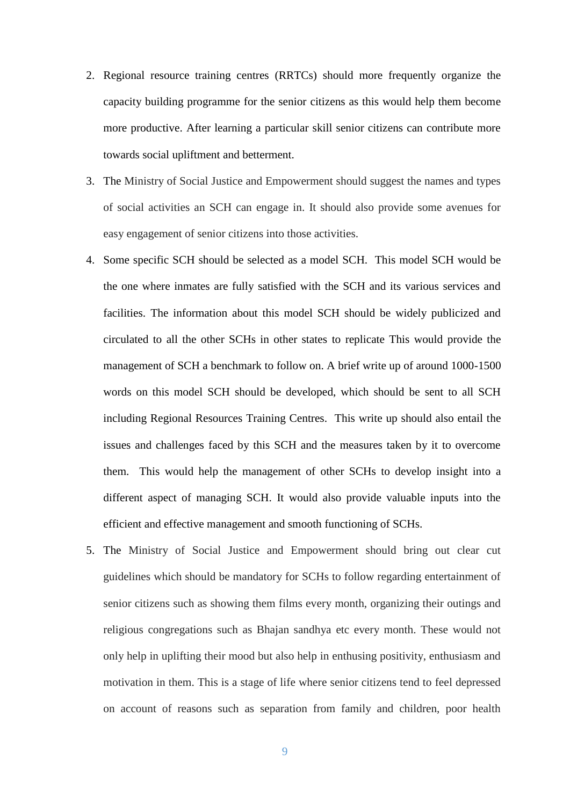- 2. Regional resource training centres (RRTCs) should more frequently organize the capacity building programme for the senior citizens as this would help them become more productive. After learning a particular skill senior citizens can contribute more towards social upliftment and betterment.
- 3. The Ministry of Social Justice and Empowerment should suggest the names and types of social activities an SCH can engage in. It should also provide some avenues for easy engagement of senior citizens into those activities.
- 4. Some specific SCH should be selected as a model SCH. This model SCH would be the one where inmates are fully satisfied with the SCH and its various services and facilities. The information about this model SCH should be widely publicized and circulated to all the other SCHs in other states to replicate This would provide the management of SCH a benchmark to follow on. A brief write up of around 1000-1500 words on this model SCH should be developed, which should be sent to all SCH including Regional Resources Training Centres. This write up should also entail the issues and challenges faced by this SCH and the measures taken by it to overcome them. This would help the management of other SCHs to develop insight into a different aspect of managing SCH. It would also provide valuable inputs into the efficient and effective management and smooth functioning of SCHs.
- 5. The Ministry of Social Justice and Empowerment should bring out clear cut guidelines which should be mandatory for SCHs to follow regarding entertainment of senior citizens such as showing them films every month, organizing their outings and religious congregations such as Bhajan sandhya etc every month. These would not only help in uplifting their mood but also help in enthusing positivity, enthusiasm and motivation in them. This is a stage of life where senior citizens tend to feel depressed on account of reasons such as separation from family and children, poor health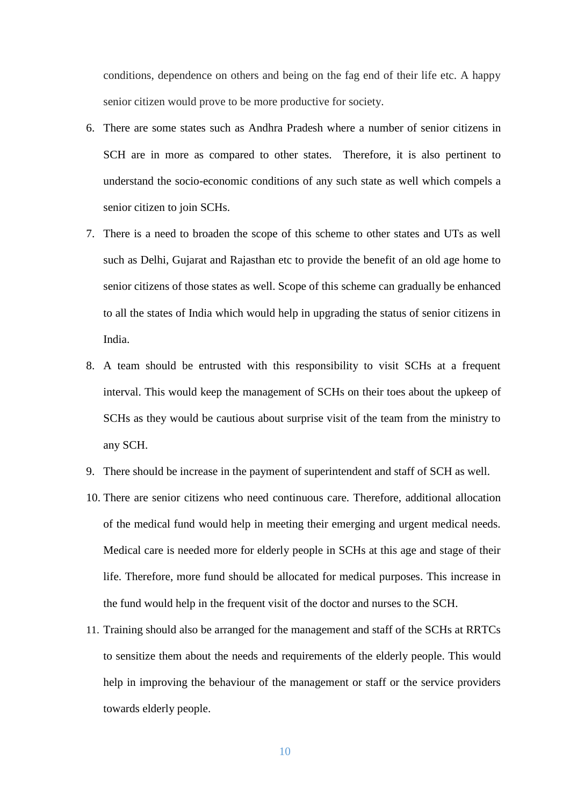conditions, dependence on others and being on the fag end of their life etc. A happy senior citizen would prove to be more productive for society.

- 6. There are some states such as Andhra Pradesh where a number of senior citizens in SCH are in more as compared to other states. Therefore, it is also pertinent to understand the socio-economic conditions of any such state as well which compels a senior citizen to join SCHs.
- 7. There is a need to broaden the scope of this scheme to other states and UTs as well such as Delhi, Gujarat and Rajasthan etc to provide the benefit of an old age home to senior citizens of those states as well. Scope of this scheme can gradually be enhanced to all the states of India which would help in upgrading the status of senior citizens in India.
- 8. A team should be entrusted with this responsibility to visit SCHs at a frequent interval. This would keep the management of SCHs on their toes about the upkeep of SCHs as they would be cautious about surprise visit of the team from the ministry to any SCH.
- 9. There should be increase in the payment of superintendent and staff of SCH as well.
- 10. There are senior citizens who need continuous care. Therefore, additional allocation of the medical fund would help in meeting their emerging and urgent medical needs. Medical care is needed more for elderly people in SCHs at this age and stage of their life. Therefore, more fund should be allocated for medical purposes. This increase in the fund would help in the frequent visit of the doctor and nurses to the SCH.
- 11. Training should also be arranged for the management and staff of the SCHs at RRTCs to sensitize them about the needs and requirements of the elderly people. This would help in improving the behaviour of the management or staff or the service providers towards elderly people.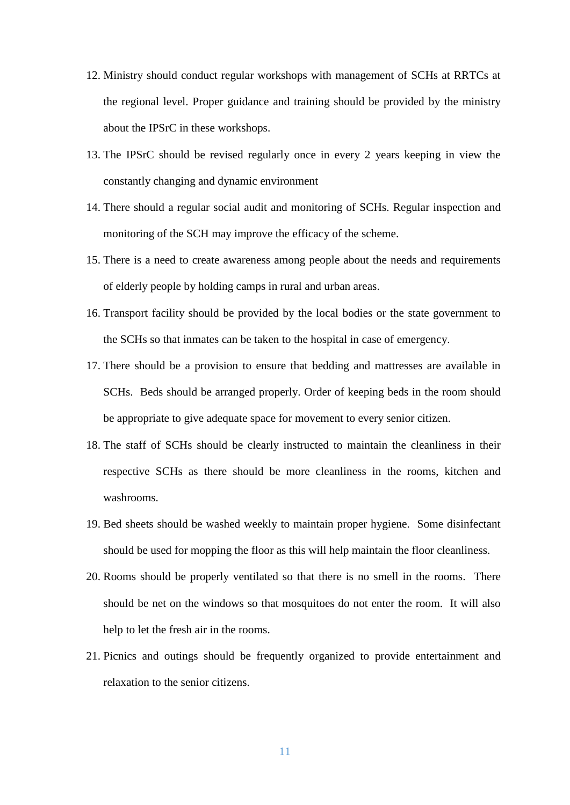- 12. Ministry should conduct regular workshops with management of SCHs at RRTCs at the regional level. Proper guidance and training should be provided by the ministry about the IPSrC in these workshops.
- 13. The IPSrC should be revised regularly once in every 2 years keeping in view the constantly changing and dynamic environment
- 14. There should a regular social audit and monitoring of SCHs. Regular inspection and monitoring of the SCH may improve the efficacy of the scheme.
- 15. There is a need to create awareness among people about the needs and requirements of elderly people by holding camps in rural and urban areas.
- 16. Transport facility should be provided by the local bodies or the state government to the SCHs so that inmates can be taken to the hospital in case of emergency.
- 17. There should be a provision to ensure that bedding and mattresses are available in SCHs. Beds should be arranged properly. Order of keeping beds in the room should be appropriate to give adequate space for movement to every senior citizen.
- 18. The staff of SCHs should be clearly instructed to maintain the cleanliness in their respective SCHs as there should be more cleanliness in the rooms, kitchen and washrooms.
- 19. Bed sheets should be washed weekly to maintain proper hygiene. Some disinfectant should be used for mopping the floor as this will help maintain the floor cleanliness.
- 20. Rooms should be properly ventilated so that there is no smell in the rooms. There should be net on the windows so that mosquitoes do not enter the room. It will also help to let the fresh air in the rooms.
- 21. Picnics and outings should be frequently organized to provide entertainment and relaxation to the senior citizens.